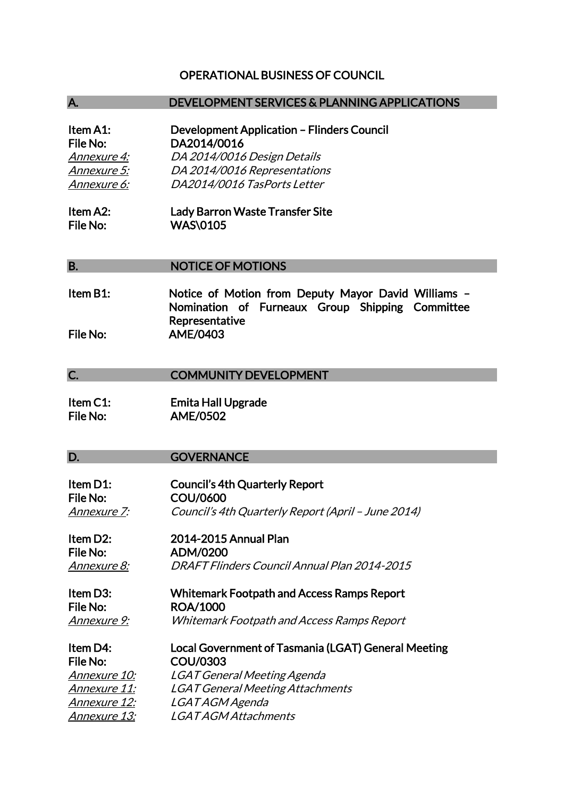## OPERATIONAL BUSINESS OF COUNCIL

### A. DEVELOPMENT SERVICES & PLANNING APPLICATIONS

| <b>Development Application - Flinders Council</b> |
|---------------------------------------------------|
| DA2014/0016                                       |
| DA 2014/0016 Design Details                       |
| DA 2014/0016 Representations                      |
| DA2014/0016 TasPorts Letter                       |
|                                                   |

Item A2: Lady Barron Waste Transfer Site File No: WAS\0105

#### B. NOTICE OF MOTIONS

Item B1: Notice of Motion from Deputy Mayor David Williams – Nomination of Furneaux Group Shipping Committee Representative File No: AME/0403

## C. **COMMUNITY DEVELOPMENT**

Item C1: Emita Hall Upgrade File No: AME/0502

#### D. **GOVERNANCE**

| Item D1:<br><b>File No:</b> | <b>Council's 4th Quarterly Report</b><br>COU/0600   |
|-----------------------------|-----------------------------------------------------|
| <u>Annexure 7:</u>          | Council's 4th Quarterly Report (April - June 2014)  |
| Item D2:                    | 2014-2015 Annual Plan                               |
| File No:                    | ADM/0200                                            |
| <u> Annexure 8:</u>         | DRAFT Flinders Council Annual Plan 2014-2015        |
| Item D3:                    | <b>Whitemark Footpath and Access Ramps Report</b>   |
| File No:                    | <b>ROA/1000</b>                                     |
| <u>Annexure 9:</u>          | <b>Whitemark Footpath and Access Ramps Report</b>   |
| Item D4:                    | Local Government of Tasmania (LGAT) General Meeting |
| <b>File No:</b>             | COU/0303                                            |
| <i>Annexure 10:</i>         | <b>LGAT General Meeting Agenda</b>                  |
| <u>Annexure 11:</u>         | <b>LGAT General Meeting Attachments</b>             |
| <u> Annexure 12:</u>        | LGAT AGM Agenda                                     |
| <u>Annexure 13:</u>         | <i>LGAT AGM Attachments</i>                         |
|                             |                                                     |